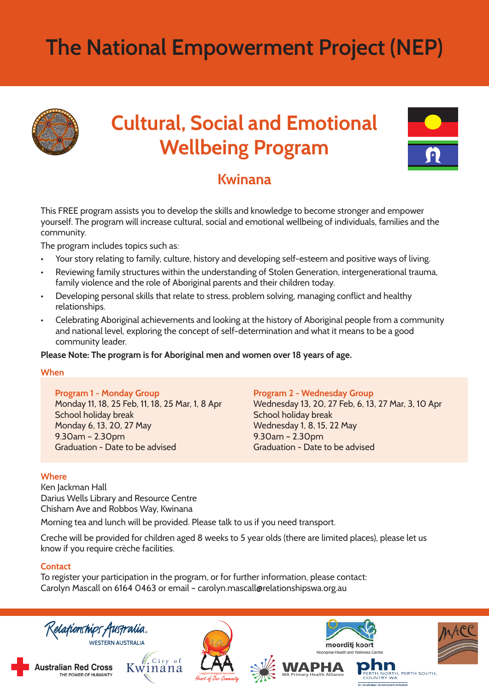# **The National Empowerment Project (NEP)**



## **Cultural, Social and Emotional Wellbeing Program**



### **Kwinana**

This FREE program assists you to develop the skills and knowledge to become stronger and empower yourself. The program will increase cultural, social and emotional wellbeing of individuals, families and the community.

The program includes topics such as:

- Your story relating to family, culture, history and developing self-esteem and positive ways of living.
- Reviewing family structures within the understanding of Stolen Generation, intergenerational trauma, family violence and the role of Aboriginal parents and their children today.
- Developing personal skills that relate to stress, problem solving, managing conflict and healthy relationships.
- Celebrating Aboriginal achievements and looking at the history of Aboriginal people from a community and national level, exploring the concept of self-determination and what it means to be a good community leader.

**Please Note: The program is for Aboriginal men and women over 18 years of age.**

#### **When**

**Program 1 - Monday Group**

Monday 11, 18, 25 Feb, 11, 18, 25 Mar, 1, 8 Apr School holiday break Monday 6, 13, 20, 27 May 9.30am – 2.30pm Graduation - Date to be advised

#### **Program 2 - Wednesday Group**

Wednesday 13, 20, 27 Feb, 6, 13, 27 Mar, 3, 10 Apr School holiday break Wednesday 1, 8, 15, 22 May 9.30am – 2.30pm Graduation - Date to be advised

#### **Where**

Ken Jackman Hall Darius Wells Library and Resource Centre Chisham Ave and Robbos Way, Kwinana

Morning tea and lunch will be provided. Please talk to us if you need transport.

Creche will be provided for children aged 8 weeks to 5 year olds (there are limited places), please let us know if you require crèche facilities.

#### **Contact**

To register your participation in the program, or for further information, please contact: Carolyn Mascall on 6164 0463 or email – carolyn.mascall@relationshipswa.org.au